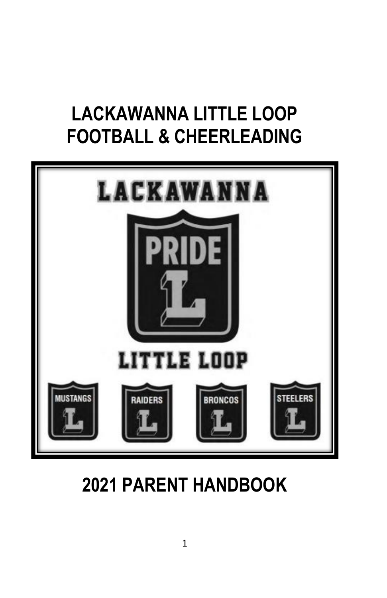# **LACKAWANNA LITTLE LOOP FOOTBALL & CHEERLEADING**



**2021 PARENT HANDBOOK**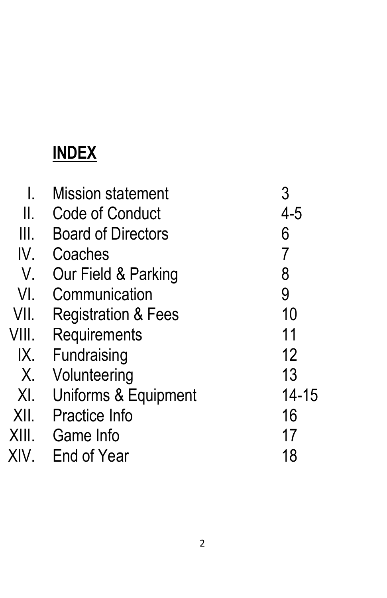# **INDEX**

|       | <b>Mission statement</b>       | 3              |
|-------|--------------------------------|----------------|
| Ш.    | Code of Conduct                | $4 - 5$        |
| Ш.    | <b>Board of Directors</b>      | 6              |
| IV.   | Coaches                        | $\overline{7}$ |
| V.    | Our Field & Parking            | 8              |
| VI.   | Communication                  | 9              |
| VII.  | <b>Registration &amp; Fees</b> | 10             |
| VIII. | Requirements                   | 11             |
| IX.   | Fundraising                    | 12             |
| Χ.    | Volunteering                   | 13             |
| XI.   | Uniforms & Equipment           | 14-15          |
| XII.  | <b>Practice Info</b>           | 16             |
| XIII. | Game Info                      | 17             |
| XIV.  | End of Year                    | 18             |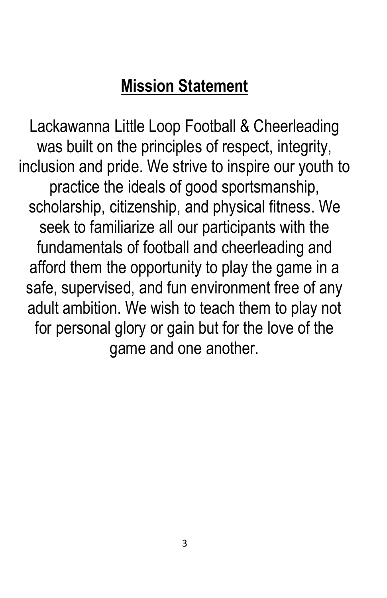# **Mission Statement**

Lackawanna Little Loop Football & Cheerleading was built on the principles of respect, integrity, inclusion and pride. We strive to inspire our youth to practice the ideals of good sportsmanship, scholarship, citizenship, and physical fitness. We seek to familiarize all our participants with the fundamentals of football and cheerleading and afford them the opportunity to play the game in a safe, supervised, and fun environment free of any adult ambition. We wish to teach them to play not for personal glory or gain but for the love of the game and one another.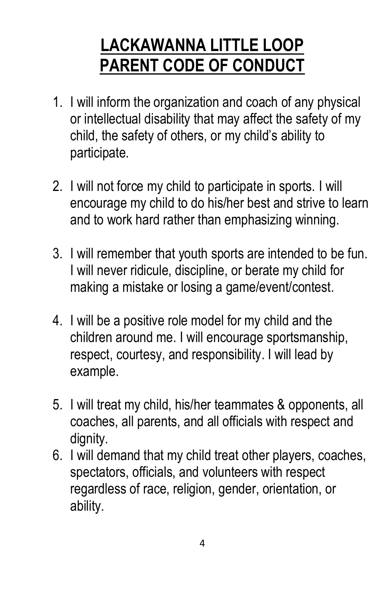# **LACKAWANNA LITTLE LOOP PARENT CODE OF CONDUCT**

- 1. I will inform the organization and coach of any physical or intellectual disability that may affect the safety of my child, the safety of others, or my child's ability to participate.
- 2. I will not force my child to participate in sports. I will encourage my child to do his/her best and strive to learn and to work hard rather than emphasizing winning.
- 3. I will remember that youth sports are intended to be fun. I will never ridicule, discipline, or berate my child for making a mistake or losing a game/event/contest.
- 4. I will be a positive role model for my child and the children around me. I will encourage sportsmanship, respect, courtesy, and responsibility. I will lead by example.
- 5. I will treat my child, his/her teammates & opponents, all coaches, all parents, and all officials with respect and dignity.
- 6. I will demand that my child treat other players, coaches, spectators, officials, and volunteers with respect regardless of race, religion, gender, orientation, or ability.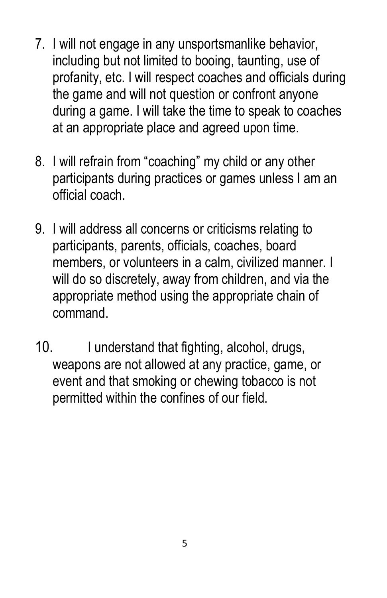- 7. I will not engage in any unsportsmanlike behavior, including but not limited to booing, taunting, use of profanity, etc. I will respect coaches and officials during the game and will not question or confront anyone during a game. I will take the time to speak to coaches at an appropriate place and agreed upon time.
- 8. I will refrain from "coaching" my child or any other participants during practices or games unless I am an official coach.
- 9. I will address all concerns or criticisms relating to participants, parents, officials, coaches, board members, or volunteers in a calm, civilized manner. I will do so discretely, away from children, and via the appropriate method using the appropriate chain of command.
- 10. I understand that fighting, alcohol, drugs, weapons are not allowed at any practice, game, or event and that smoking or chewing tobacco is not permitted within the confines of our field.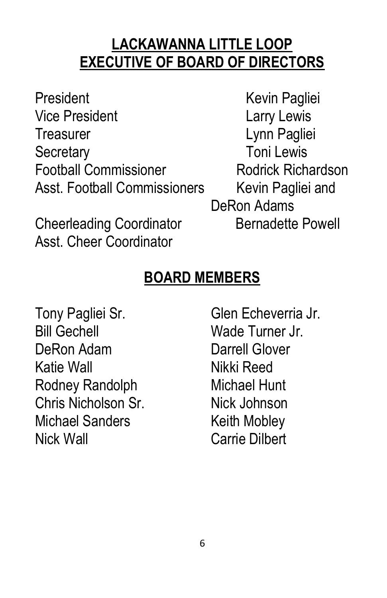## **LACKAWANNA LITTLE LOOP EXECUTIVE OF BOARD OF DIRECTORS**

President Kevin Pagliei Vice President **Larry Lewis** Treasurer Lynn Pagliei Secretary **Toni** Lewis Football Commissioner Rodrick Richardson Asst. Football Commissioners Kevin Pagliei and

Cheerleading Coordinator **Bernadette Powell** Asst. Cheer Coordinator

DeRon Adams

## **BOARD MEMBERS**

Tony Pagliei Sr. Glen Echeverria Jr. Bill Gechell Wade Turner Jr. DeRon Adam **Darrell Glover** Katie Wall Nikki Reed Rodney Randolph Michael Hunt Chris Nicholson Sr. Nick Johnson Michael Sanders **Keith Mobley** Nick Wall Carrie Dilbert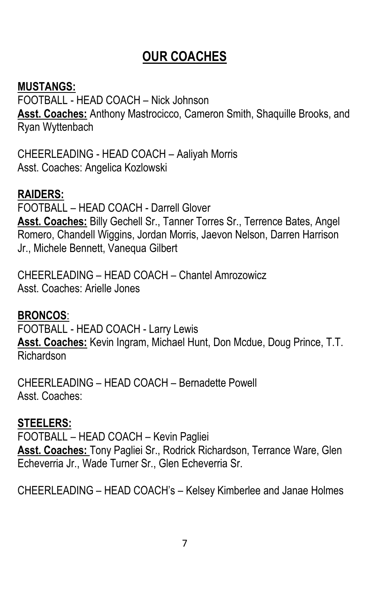## **OUR COACHES**

#### **MUSTANGS:**

FOOTBALL - HEAD COACH – Nick Johnson **Asst. Coaches:** Anthony Mastrocicco, Cameron Smith, Shaquille Brooks, and Ryan Wyttenbach

CHEERLEADING - HEAD COACH – Aaliyah Morris Asst. Coaches: Angelica Kozlowski

#### **RAIDERS:**

FOOTBALL – HEAD COACH - Darrell Glover **Asst. Coaches:** Billy Gechell Sr., Tanner Torres Sr., Terrence Bates, Angel Romero, Chandell Wiggins, Jordan Morris, Jaevon Nelson, Darren Harrison Jr., Michele Bennett, Vanequa Gilbert

CHEERLEADING – HEAD COACH – Chantel Amrozowicz Asst. Coaches: Arielle Jones

#### **BRONCOS**:

FOOTBALL - HEAD COACH - Larry Lewis **Asst. Coaches:** Kevin Ingram, Michael Hunt, Don Mcdue, Doug Prince, T.T. Richardson

CHEERLEADING – HEAD COACH – Bernadette Powell Asst. Coaches:

#### **STEELERS:**

FOOTBALL – HEAD COACH – Kevin Pagliei **Asst. Coaches:** Tony Pagliei Sr., Rodrick Richardson, Terrance Ware, Glen Echeverria Jr., Wade Turner Sr., Glen Echeverria Sr.

CHEERLEADING – HEAD COACH's – Kelsey Kimberlee and Janae Holmes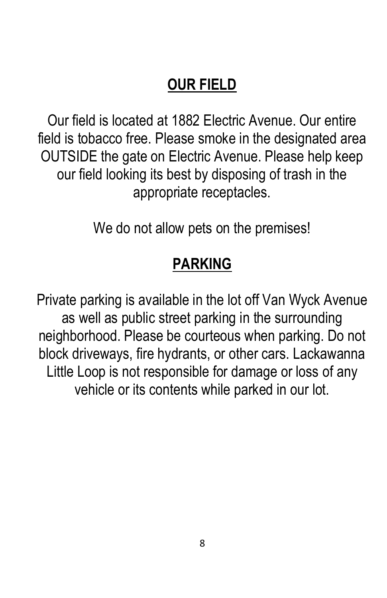# **OUR FIELD**

Our field is located at 1882 Electric Avenue. Our entire field is tobacco free. Please smoke in the designated area OUTSIDE the gate on Electric Avenue. Please help keep our field looking its best by disposing of trash in the appropriate receptacles.

We do not allow pets on the premises!

## **PARKING**

Private parking is available in the lot off Van Wyck Avenue as well as public street parking in the surrounding neighborhood. Please be courteous when parking. Do not block driveways, fire hydrants, or other cars. Lackawanna Little Loop is not responsible for damage or loss of any vehicle or its contents while parked in our lot.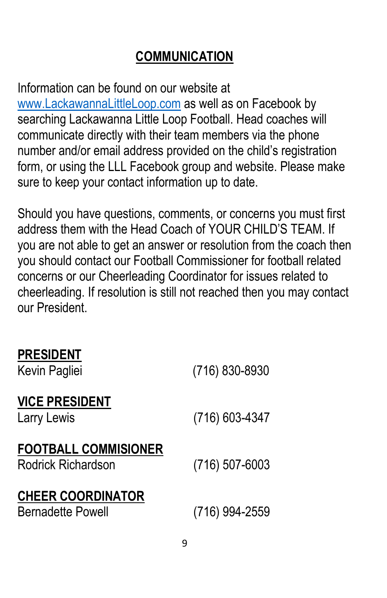## **COMMUNICATION**

Information can be found on our website at [www.LackawannaLittleLoop.com](http://www.lackawannalittleloop.com/) as well as on Facebook by searching Lackawanna Little Loop Football. Head coaches will communicate directly with their team members via the phone number and/or email address provided on the child's registration form, or using the LLL Facebook group and website. Please make sure to keep your contact information up to date.

Should you have questions, comments, or concerns you must first address them with the Head Coach of YOUR CHILD'S TEAM. If you are not able to get an answer or resolution from the coach then you should contact our Football Commissioner for football related concerns or our Cheerleading Coordinator for issues related to cheerleading. If resolution is still not reached then you may contact our President.

### **PRESIDENT**

| Kevin Pagliei                                        | (716) 830-8930   |
|------------------------------------------------------|------------------|
| <b>VICE PRESIDENT</b><br>Larry Lewis                 | (716) 603-4347   |
| <b>FOOTBALL COMMISIONER</b><br>Rodrick Richardson    | $(716)$ 507-6003 |
| <b>CHEER COORDINATOR</b><br><b>Bernadette Powell</b> | (716) 994-2559   |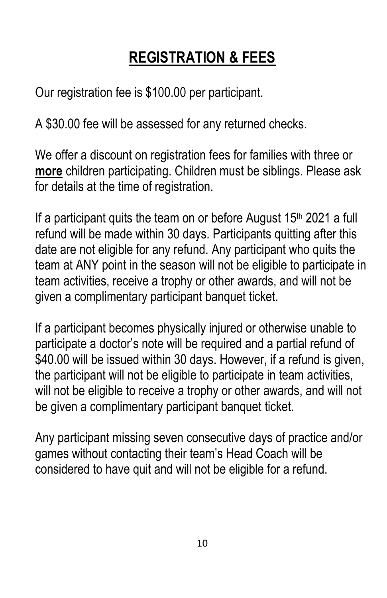# **REGISTRATION & FEES**

Our registration fee is \$100.00 per participant.

A \$30.00 fee will be assessed for any returned checks.

We offer a discount on registration fees for families with three or **more** children participating. Children must be siblings. Please ask for details at the time of registration.

If a participant quits the team on or before August  $15<sup>th</sup> 2021$  a full refund will be made within 30 days. Participants quitting after this date are not eligible for any refund. Any participant who quits the team at ANY point in the season will not be eligible to participate in team activities, receive a trophy or other awards, and will not be given a complimentary participant banquet ticket.

If a participant becomes physically injured or otherwise unable to participate a doctor's note will be required and a partial refund of \$40.00 will be issued within 30 days. However, if a refund is given, the participant will not be eligible to participate in team activities, will not be eligible to receive a trophy or other awards, and will not be given a complimentary participant banquet ticket.

Any participant missing seven consecutive days of practice and/or games without contacting their team's Head Coach will be considered to have quit and will not be eligible for a refund.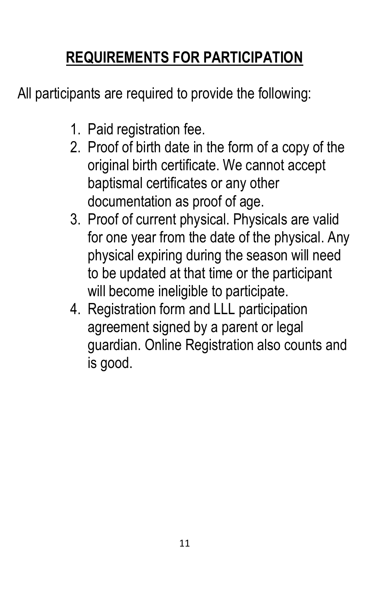# **REQUIREMENTS FOR PARTICIPATION**

All participants are required to provide the following:

- 1. Paid registration fee.
- 2. Proof of birth date in the form of a copy of the original birth certificate. We cannot accept baptismal certificates or any other documentation as proof of age.
- 3. Proof of current physical. Physicals are valid for one year from the date of the physical. Any physical expiring during the season will need to be updated at that time or the participant will become ineligible to participate.
- 4. Registration form and LLL participation agreement signed by a parent or legal guardian. Online Registration also counts and is good.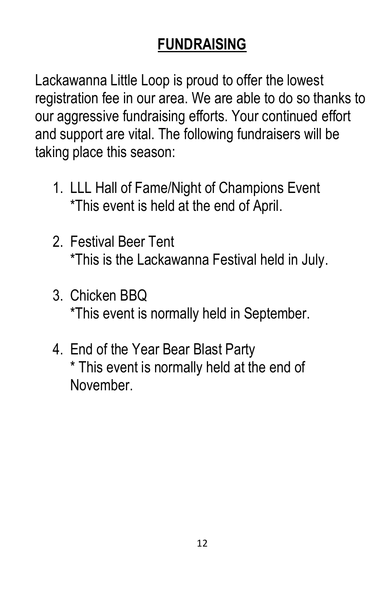# **FUNDRAISING**

Lackawanna Little Loop is proud to offer the lowest registration fee in our area. We are able to do so thanks to our aggressive fundraising efforts. Your continued effort and support are vital. The following fundraisers will be taking place this season:

- 1. LLL Hall of Fame/Night of Champions Event \*This event is held at the end of April.
- 2. Festival Beer Tent \*This is the Lackawanna Festival held in July.
- 3. Chicken BBQ \*This event is normally held in September.
- 4. End of the Year Bear Blast Party \* This event is normally held at the end of November.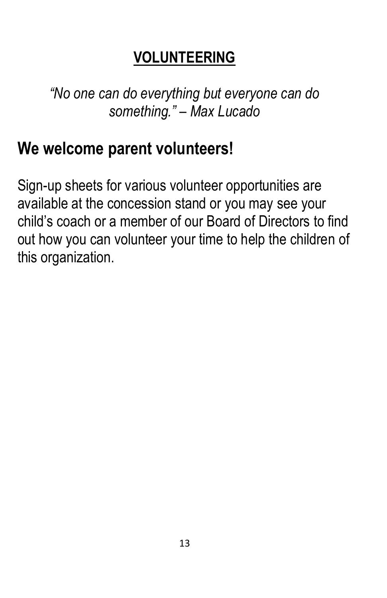## **VOLUNTEERING**

*"No one can do everything but everyone can do something." – Max Lucado*

# **We welcome parent volunteers!**

Sign-up sheets for various volunteer opportunities are available at the concession stand or you may see your child's coach or a member of our Board of Directors to find out how you can volunteer your time to help the children of this organization.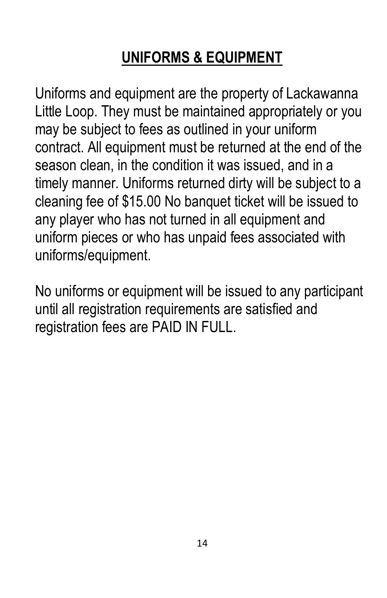# **UNIFORMS & EQUIPMENT**

Uniforms and equipment are the property of Lackawanna Little Loop. They must be maintained appropriately or you may be subject to fees as outlined in your uniform contract. All equipment must be returned at the end of the season clean, in the condition it was issued, and in a timely manner. Uniforms returned dirty will be subject to a cleaning fee of \$15.00 No banquet ticket will be issued to any player who has not turned in all equipment and uniform pieces or who has unpaid fees associated with uniforms/equipment.

No uniforms or equipment will be issued to any participant until all registration requirements are satisfied and registration fees are PAID IN FULL.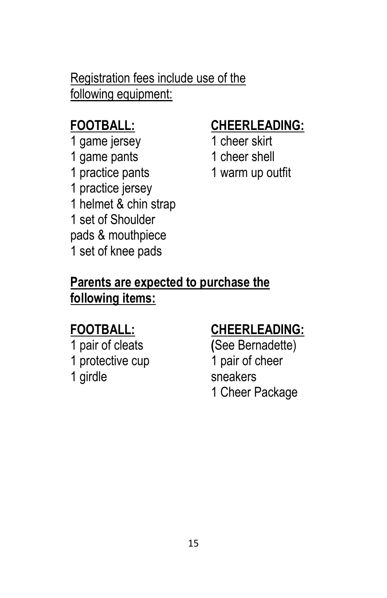## Registration fees include use of the following equipment:

## **FOOTBALL:**

1 game jersey 1 game pants 1 practice pants 1 practice jersey 1 helmet & chin strap 1 set of Shoulder pads & mouthpiece 1 set of knee pads

## **CHEERLEADING:**

- 1 cheer skirt 1 cheer shell
- 1 warm up outfit

## **Parents are expected to purchase the following items:**

## **FOOTBALL:**

1 pair of cleats 1 protective cup 1 girdle

## **CHEERLEADING:**

**(**See Bernadette) 1 pair of cheer sneakers 1 Cheer Package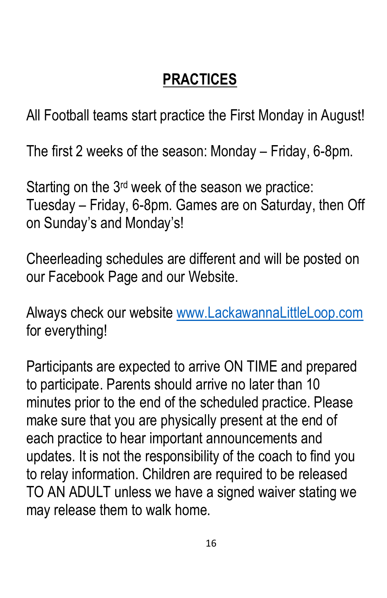# **PRACTICES**

All Football teams start practice the First Monday in August!

The first 2 weeks of the season: Monday – Friday, 6-8pm.

Starting on the 3rd week of the season we practice: Tuesday – Friday, 6-8pm. Games are on Saturday, then Off on Sunday's and Monday's!

Cheerleading schedules are different and will be posted on our Facebook Page and our Website.

Always check our website [www.LackawannaLittleLoop.com](http://www.lackawannalittleloop.com/) for everything!

Participants are expected to arrive ON TIME and prepared to participate. Parents should arrive no later than 10 minutes prior to the end of the scheduled practice. Please make sure that you are physically present at the end of each practice to hear important announcements and updates. It is not the responsibility of the coach to find you to relay information. Children are required to be released TO AN ADULT unless we have a signed waiver stating we may release them to walk home.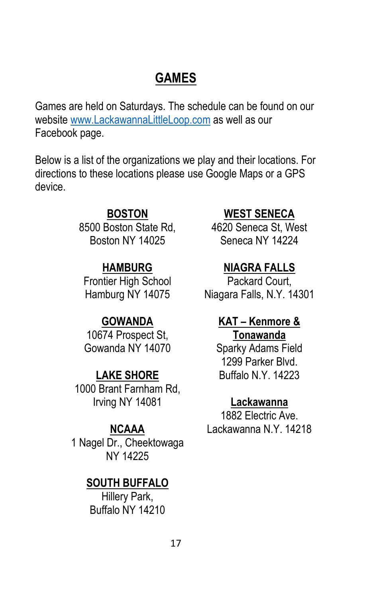## **GAMES**

Games are held on Saturdays. The schedule can be found on our website [www.LackawannaLittleLoop.com](http://www.lackawannalittleloop.com/) as well as our Facebook page.

Below is a list of the organizations we play and their locations. For directions to these locations please use Google Maps or a GPS device.

#### **BOSTON**

8500 Boston State Rd, Boston NY 14025

#### **HAMBURG**

Frontier High School Hamburg NY 14075

#### **GOWANDA**

10674 Prospect St, Gowanda NY 14070

#### **LAKE SHORE**

1000 Brant Farnham Rd, Irving NY 14081

#### **NCAAA**

1 Nagel Dr., Cheektowaga NY 14225

#### **SOUTH BUFFALO**

Hillery Park, Buffalo NY 14210

#### **WEST SENECA**

4620 Seneca St, West Seneca NY 14224

#### **NIAGRA FALLS**

Packard Court, Niagara Falls, N.Y. 14301

#### **KAT – Kenmore & Tonawanda**

Sparky Adams Field 1299 Parker Blvd. Buffalo N.Y. 14223

#### **Lackawanna**

1882 Electric Ave. Lackawanna N.Y. 14218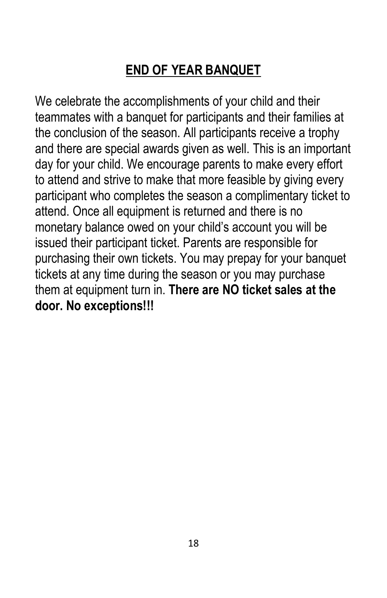## **END OF YEAR BANQUET**

We celebrate the accomplishments of your child and their teammates with a banquet for participants and their families at the conclusion of the season. All participants receive a trophy and there are special awards given as well. This is an important day for your child. We encourage parents to make every effort to attend and strive to make that more feasible by giving every participant who completes the season a complimentary ticket to attend. Once all equipment is returned and there is no monetary balance owed on your child's account you will be issued their participant ticket. Parents are responsible for purchasing their own tickets. You may prepay for your banquet tickets at any time during the season or you may purchase them at equipment turn in. **There are NO ticket sales at the door. No exceptions!!!**